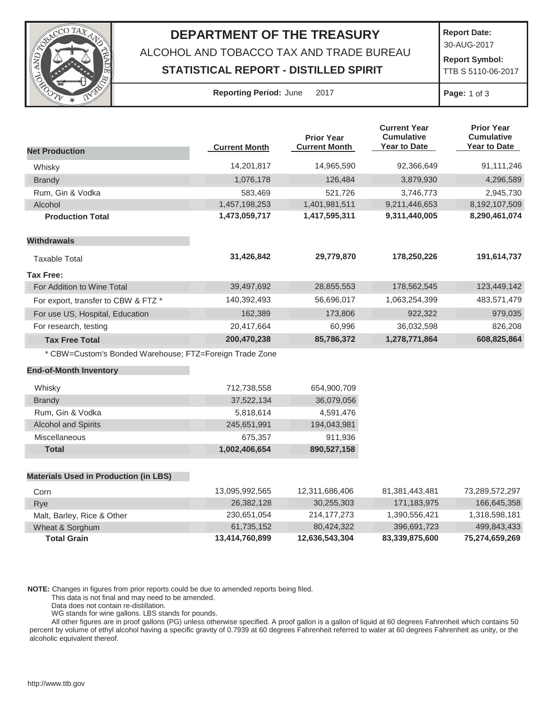

## **DEPARTMENT OF THE TREASURY**

ALCOHOL AND TOBACCO TAX AND TRADE BUREAU

## **STATISTICAL REPORT - DISTILLED SPIRIT**

**Report Date:**

30-AUG-2017

**Report Symbol:** TTB S 5110-06-2017

**Reporting Period:** June 2017 **Page:** 1 of 3

|                                                         |                      | <b>Prior Year</b>    | <b>Current Year</b><br><b>Cumulative</b> | <b>Prior Year</b><br><b>Cumulative</b> |
|---------------------------------------------------------|----------------------|----------------------|------------------------------------------|----------------------------------------|
| <b>Net Production</b>                                   | <b>Current Month</b> | <b>Current Month</b> | <b>Year to Date</b>                      | Year to Date                           |
| Whisky                                                  | 14,201,817           | 14,965,590           | 92,366,649                               | 91,111,246                             |
| <b>Brandy</b>                                           | 1,076,178            | 126,484              | 3,879,930                                | 4,296,589                              |
| Rum, Gin & Vodka                                        | 583,469              | 521,726              | 3,746,773                                | 2,945,730                              |
| Alcohol                                                 | 1,457,198,253        | 1,401,981,511        | 9,211,446,653                            | 8,192,107,509                          |
| <b>Production Total</b>                                 | 1,473,059,717        | 1,417,595,311        | 9,311,440,005                            | 8,290,461,074                          |
| <b>Withdrawals</b>                                      |                      |                      |                                          |                                        |
| <b>Taxable Total</b>                                    | 31,426,842           | 29,779,870           | 178,250,226                              | 191,614,737                            |
| <b>Tax Free:</b>                                        |                      |                      |                                          |                                        |
| For Addition to Wine Total                              | 39,497,692           | 28,855,553           | 178,562,545                              | 123,449,142                            |
| For export, transfer to CBW & FTZ *                     | 140,392,493          | 56,696,017           | 1,063,254,399                            | 483,571,479                            |
| For use US, Hospital, Education                         | 162,389              | 173,806              | 922,322                                  | 979,035                                |
| For research, testing                                   | 20,417,664           | 60,996               | 36,032,598                               | 826,208                                |
| <b>Tax Free Total</b>                                   | 200,470,238          | 85,786,372           | 1,278,771,864                            | 608,825,864                            |
| * CBW=Custom's Bonded Warehouse; FTZ=Foreign Trade Zone |                      |                      |                                          |                                        |
| <b>End-of-Month Inventory</b>                           |                      |                      |                                          |                                        |
| Whisky                                                  | 712,738,558          | 654,900,709          |                                          |                                        |
| <b>Brandy</b>                                           | 37,522,134           | 36,079,056           |                                          |                                        |
| Rum, Gin & Vodka                                        | 5,818,614            | 4,591,476            |                                          |                                        |
| <b>Alcohol and Spirits</b>                              | 245,651,991          | 194,043,981          |                                          |                                        |
| Miscellaneous                                           | 675,357              | 911,936              |                                          |                                        |
| <b>Total</b>                                            | 1,002,406,654        | 890,527,158          |                                          |                                        |
| <b>Materials Used in Production (in LBS)</b>            |                      |                      |                                          |                                        |
| Corn                                                    | 13,095,992,565       | 12,311,686,406       | 81,381,443,481                           | 73,289,572,297                         |

| <b>Total Grain</b>         | 13,414,760,899  | 12.636.543.304                   | 83,339,875,600  | 75,274,659,269 |
|----------------------------|-----------------|----------------------------------|-----------------|----------------|
| Wheat & Sorghum            | 61.735.152      | 80.424.322                       | 396.691.723     | 499.843.433    |
| Malt, Barley, Rice & Other | 230,651,054     | 214.177.273                      | 1,390,556,421   | 1,318,598,181  |
| Rye                        | 26,382,128      | 30,255,303                       | 171.183.975     | 166,645,358    |
| COIN                       | I J.UYJ.YYZ.JUJ | <b>UU<del>P</del>,000,</b> IILG, | 108,001,440,401 | 70.209.07.297  |

**NOTE:** Changes in figures from prior reports could be due to amended reports being filed.

This data is not final and may need to be amended.

Data does not contain re-distillation.

WG stands for wine gallons. LBS stands for pounds.

All other figures are in proof gallons (PG) unless otherwise specified. A proof gallon is a gallon of liquid at 60 degrees Fahrenheit which contains 50 percent by volume of ethyl alcohol having a specific gravity of 0.7939 at 60 degrees Fahrenheit referred to water at 60 degrees Fahrenheit as unity, or the alcoholic equivalent thereof.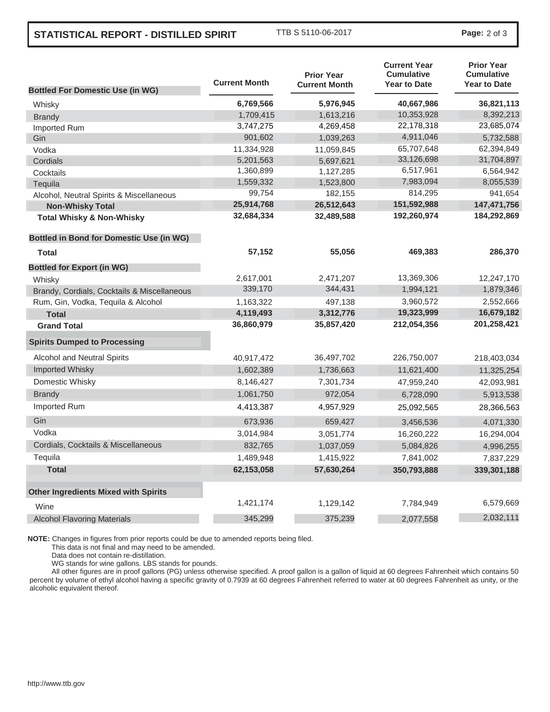## **STATISTICAL REPORT - DISTILLED SPIRIT** TTB S 5110-06-2017 **Page:** <sup>2</sup> of 3

|                                                 | <b>Current Month</b> | <b>Prior Year</b>    | <b>Current Year</b><br><b>Cumulative</b><br><b>Year to Date</b> | <b>Prior Year</b><br><b>Cumulative</b><br><b>Year to Date</b> |
|-------------------------------------------------|----------------------|----------------------|-----------------------------------------------------------------|---------------------------------------------------------------|
| <b>Bottled For Domestic Use (in WG)</b>         |                      | <b>Current Month</b> |                                                                 |                                                               |
| Whisky                                          | 6,769,566            | 5,976,945            | 40,667,986                                                      | 36,821,113                                                    |
| <b>Brandy</b>                                   | 1,709,415            | 1,613,216            | 10,353,928                                                      | 8,392,213                                                     |
| Imported Rum                                    | 3,747,275            | 4,269,458            | 22,178,318                                                      | 23,685,074                                                    |
| Gin                                             | 901,602              | 1,039,263            | 4,911,046                                                       | 5,732,588                                                     |
| Vodka                                           | 11,334,928           | 11,059,845           | 65,707,648                                                      | 62,394,849                                                    |
| Cordials                                        | 5,201,563            | 5,697,621            | 33,126,698                                                      | 31,704,897                                                    |
| Cocktails                                       | 1,360,899            | 1,127,285            | 6,517,961                                                       | 6,564,942                                                     |
| Tequila                                         | 1,559,332            | 1,523,800            | 7,983,094                                                       | 8,055,539                                                     |
| Alcohol, Neutral Spirits & Miscellaneous        | 99,754               | 182,155              | 814,295                                                         | 941,654                                                       |
| <b>Non-Whisky Total</b>                         | 25,914,768           | 26,512,643           | 151,592,988                                                     | 147,471,756                                                   |
| <b>Total Whisky &amp; Non-Whisky</b>            | 32,684,334           | 32,489,588           | 192,260,974                                                     | 184,292,869                                                   |
| <b>Bottled in Bond for Domestic Use (in WG)</b> |                      |                      |                                                                 |                                                               |
| <b>Total</b>                                    | 57,152               | 55,056               | 469,383                                                         | 286,370                                                       |
| <b>Bottled for Export (in WG)</b>               |                      |                      |                                                                 |                                                               |
| Whisky                                          | 2,617,001            | 2,471,207            | 13,369,306                                                      | 12,247,170                                                    |
| Brandy, Cordials, Cocktails & Miscellaneous     | 339,170              | 344,431              | 1,994,121                                                       | 1,879,346                                                     |
| Rum, Gin, Vodka, Tequila & Alcohol              | 1,163,322            | 497,138              | 3,960,572                                                       | 2,552,666                                                     |
| <b>Total</b>                                    | 4,119,493            | 3,312,776            | 19,323,999                                                      | 16,679,182                                                    |
| <b>Grand Total</b>                              | 36,860,979           | 35,857,420           | 212,054,356                                                     | 201,258,421                                                   |
| <b>Spirits Dumped to Processing</b>             |                      |                      |                                                                 |                                                               |
| Alcohol and Neutral Spirits                     | 40,917,472           | 36,497,702           | 226,750,007                                                     | 218,403,034                                                   |
| <b>Imported Whisky</b>                          | 1,602,389            | 1,736,663            | 11,621,400                                                      | 11,325,254                                                    |
| Domestic Whisky                                 | 8,146,427            | 7,301,734            | 47,959,240                                                      | 42,093,981                                                    |
| <b>Brandy</b>                                   | 1,061,750            | 972,054              | 6,728,090                                                       | 5,913,538                                                     |
| Imported Rum                                    | 4,413,387            | 4,957,929            | 25,092,565                                                      | 28,366,563                                                    |
| Gin                                             | 673,936              | 659,427              | 3,456,536                                                       | 4,071,330                                                     |
| Vodka                                           | 3,014,984            | 3,051,774            | 16,260,222                                                      | 16,294,004                                                    |
| Cordials, Cocktails & Miscellaneous             | 832,765              | 1,037,059            | 5,084,826                                                       | 4,996,255                                                     |
| Tequila                                         | 1,489,948            | 1,415,922            | 7,841,002                                                       | 7,837,229                                                     |
| <b>Total</b>                                    | 62,153,058           | 57,630,264           | 350,793,888                                                     | 339,301,188                                                   |
| <b>Other Ingredients Mixed with Spirits</b>     |                      |                      |                                                                 |                                                               |
| Wine                                            | 1,421,174            | 1,129,142            | 7,784,949                                                       | 6,579,669                                                     |
| <b>Alcohol Flavoring Materials</b>              | 345,299              | 375,239              | 2,077,558                                                       | 2,032,111                                                     |
|                                                 |                      |                      |                                                                 |                                                               |

**NOTE:** Changes in figures from prior reports could be due to amended reports being filed.

This data is not final and may need to be amended.

Data does not contain re-distillation.

WG stands for wine gallons. LBS stands for pounds.

All other figures are in proof gallons (PG) unless otherwise specified. A proof gallon is a gallon of liquid at 60 degrees Fahrenheit which contains 50 percent by volume of ethyl alcohol having a specific gravity of 0.7939 at 60 degrees Fahrenheit referred to water at 60 degrees Fahrenheit as unity, or the alcoholic equivalent thereof.